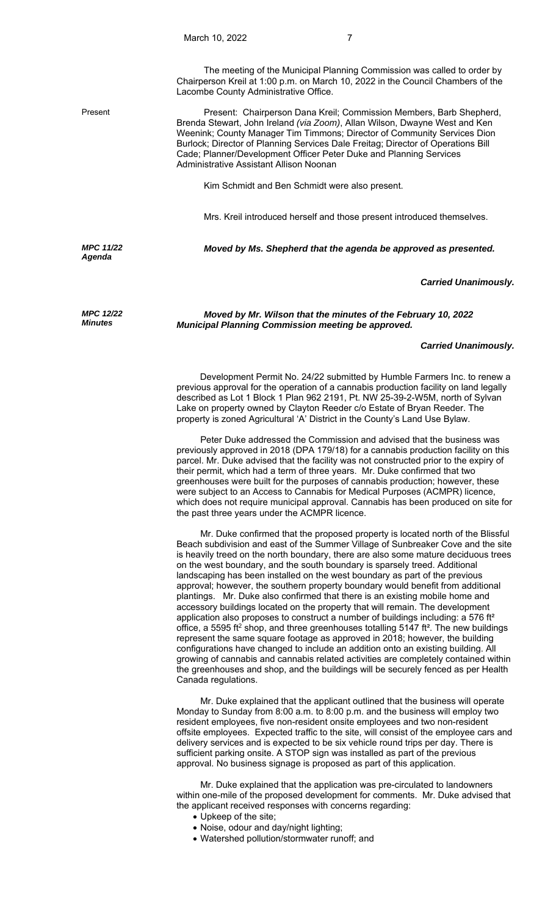Lacombe County Administrative Office.

Present Present: Chairperson Dana Kreil; Commission Members, Barb Shepherd, Brenda Stewart, John Ireland *(via Zoom)*, Allan Wilson, Dwayne West and Ken Weenink; County Manager Tim Timmons; Director of Community Services Dion Burlock; Director of Planning Services Dale Freitag; Director of Operations Bill Cade; Planner/Development Officer Peter Duke and Planning Services Administrative Assistant Allison Noonan

Kim Schmidt and Ben Schmidt were also present.

Mrs. Kreil introduced herself and those present introduced themselves.

*MPC 11/22 Agenda* 

*MPC 12/22 Minutes*

*Moved by Ms. Shepherd that the agenda be approved as presented.* 

## *Carried Unanimously.*

*Moved by Mr. Wilson that the minutes of the February 10, 2022 Municipal Planning Commission meeting be approved.* 

## *Carried Unanimously.*

 Development Permit No. 24/22 submitted by Humble Farmers Inc. to renew a previous approval for the operation of a cannabis production facility on land legally described as Lot 1 Block 1 Plan 962 2191, Pt. NW 25-39-2-W5M, north of Sylvan Lake on property owned by Clayton Reeder c/o Estate of Bryan Reeder. The property is zoned Agricultural 'A' District in the County's Land Use Bylaw.

 Peter Duke addressed the Commission and advised that the business was previously approved in 2018 (DPA 179/18) for a cannabis production facility on this parcel. Mr. Duke advised that the facility was not constructed prior to the expiry of their permit, which had a term of three years. Mr. Duke confirmed that two greenhouses were built for the purposes of cannabis production; however, these were subject to an Access to Cannabis for Medical Purposes (ACMPR) licence, which does not require municipal approval. Cannabis has been produced on site for the past three years under the ACMPR licence.

 Mr. Duke confirmed that the proposed property is located north of the Blissful Beach subdivision and east of the Summer Village of Sunbreaker Cove and the site is heavily treed on the north boundary, there are also some mature deciduous trees on the west boundary, and the south boundary is sparsely treed. Additional landscaping has been installed on the west boundary as part of the previous approval; however, the southern property boundary would benefit from additional plantings. Mr. Duke also confirmed that there is an existing mobile home and accessory buildings located on the property that will remain. The development application also proposes to construct a number of buildings including: a 576 ft<sup>2</sup> office, a 5595 ft<sup>2</sup> shop, and three greenhouses totalling 5147 ft<sup>2</sup>. The new buildings represent the same square footage as approved in 2018; however, the building configurations have changed to include an addition onto an existing building. All growing of cannabis and cannabis related activities are completely contained within the greenhouses and shop, and the buildings will be securely fenced as per Health Canada regulations.

 Mr. Duke explained that the applicant outlined that the business will operate Monday to Sunday from 8:00 a.m. to 8:00 p.m. and the business will employ two resident employees, five non-resident onsite employees and two non-resident offsite employees. Expected traffic to the site, will consist of the employee cars and delivery services and is expected to be six vehicle round trips per day. There is sufficient parking onsite. A STOP sign was installed as part of the previous approval. No business signage is proposed as part of this application.

 Mr. Duke explained that the application was pre-circulated to landowners within one-mile of the proposed development for comments. Mr. Duke advised that the applicant received responses with concerns regarding:

- Upkeep of the site;
- Noise, odour and day/night lighting;
- Watershed pollution/stormwater runoff; and

The meeting of the Municipal Planning Commission was called to order by Chairperson Kreil at 1:00 p.m. on March 10, 2022 in the Council Chambers of the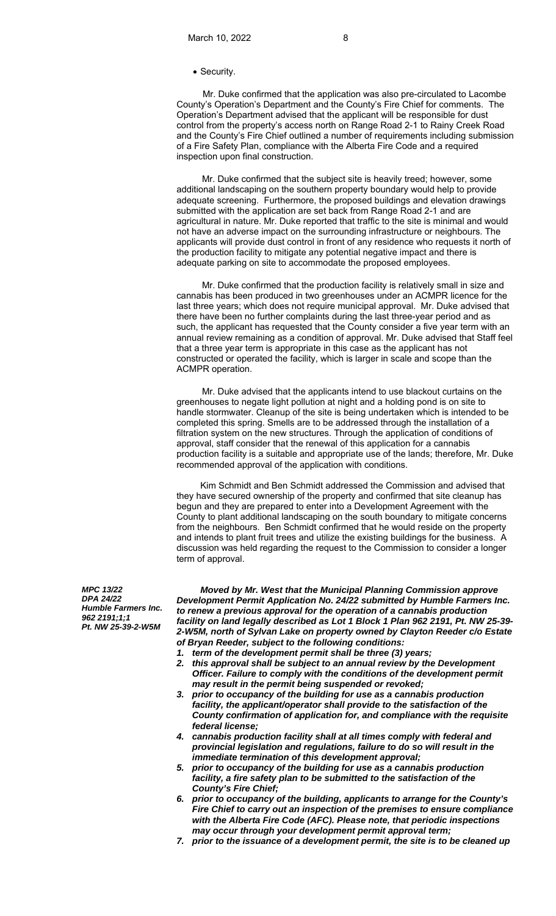## • Security.

 Mr. Duke confirmed that the application was also pre-circulated to Lacombe County's Operation's Department and the County's Fire Chief for comments. The Operation's Department advised that the applicant will be responsible for dust control from the property's access north on Range Road 2-1 to Rainy Creek Road and the County's Fire Chief outlined a number of requirements including submission of a Fire Safety Plan, compliance with the Alberta Fire Code and a required inspection upon final construction.

Mr. Duke confirmed that the subject site is heavily treed; however, some additional landscaping on the southern property boundary would help to provide adequate screening. Furthermore, the proposed buildings and elevation drawings submitted with the application are set back from Range Road 2-1 and are agricultural in nature. Mr. Duke reported that traffic to the site is minimal and would not have an adverse impact on the surrounding infrastructure or neighbours. The applicants will provide dust control in front of any residence who requests it north of the production facility to mitigate any potential negative impact and there is adequate parking on site to accommodate the proposed employees.

Mr. Duke confirmed that the production facility is relatively small in size and cannabis has been produced in two greenhouses under an ACMPR licence for the last three years; which does not require municipal approval. Mr. Duke advised that there have been no further complaints during the last three-year period and as such, the applicant has requested that the County consider a five year term with an annual review remaining as a condition of approval. Mr. Duke advised that Staff feel that a three year term is appropriate in this case as the applicant has not constructed or operated the facility, which is larger in scale and scope than the ACMPR operation.

Mr. Duke advised that the applicants intend to use blackout curtains on the greenhouses to negate light pollution at night and a holding pond is on site to handle stormwater. Cleanup of the site is being undertaken which is intended to be completed this spring. Smells are to be addressed through the installation of a filtration system on the new structures. Through the application of conditions of approval, staff consider that the renewal of this application for a cannabis production facility is a suitable and appropriate use of the lands; therefore, Mr. Duke recommended approval of the application with conditions.

 Kim Schmidt and Ben Schmidt addressed the Commission and advised that they have secured ownership of the property and confirmed that site cleanup has begun and they are prepared to enter into a Development Agreement with the County to plant additional landscaping on the south boundary to mitigate concerns from the neighbours. Ben Schmidt confirmed that he would reside on the property and intends to plant fruit trees and utilize the existing buildings for the business. A discussion was held regarding the request to the Commission to consider a longer term of approval.

*MPC 13/22 DPA 24/22 Humble Farmers Inc. 962 2191;1;1 Pt. NW 25-39-2-W5M* 

*Moved by Mr. West that the Municipal Planning Commission approve Development Permit Application No. 24/22 submitted by Humble Farmers Inc. to renew a previous approval for the operation of a cannabis production facility on land legally described as Lot 1 Block 1 Plan 962 2191, Pt. NW 25-39- 2-W5M, north of Sylvan Lake on property owned by Clayton Reeder c/o Estate of Bryan Reeder, subject to the following conditions:* 

- *1. term of the development permit shall be three (3) years;*
- *2. this approval shall be subject to an annual review by the Development Officer. Failure to comply with the conditions of the development permit may result in the permit being suspended or revoked;*
- *3. prior to occupancy of the building for use as a cannabis production facility, the applicant/operator shall provide to the satisfaction of the County confirmation of application for, and compliance with the requisite federal license;*
- *4. cannabis production facility shall at all times comply with federal and provincial legislation and regulations, failure to do so will result in the immediate termination of this development approval;*
- *5. prior to occupancy of the building for use as a cannabis production facility, a fire safety plan to be submitted to the satisfaction of the County's Fire Chief;*
- *6. prior to occupancy of the building, applicants to arrange for the County's Fire Chief to carry out an inspection of the premises to ensure compliance with the Alberta Fire Code (AFC). Please note, that periodic inspections may occur through your development permit approval term;*
- *7. prior to the issuance of a development permit, the site is to be cleaned up*